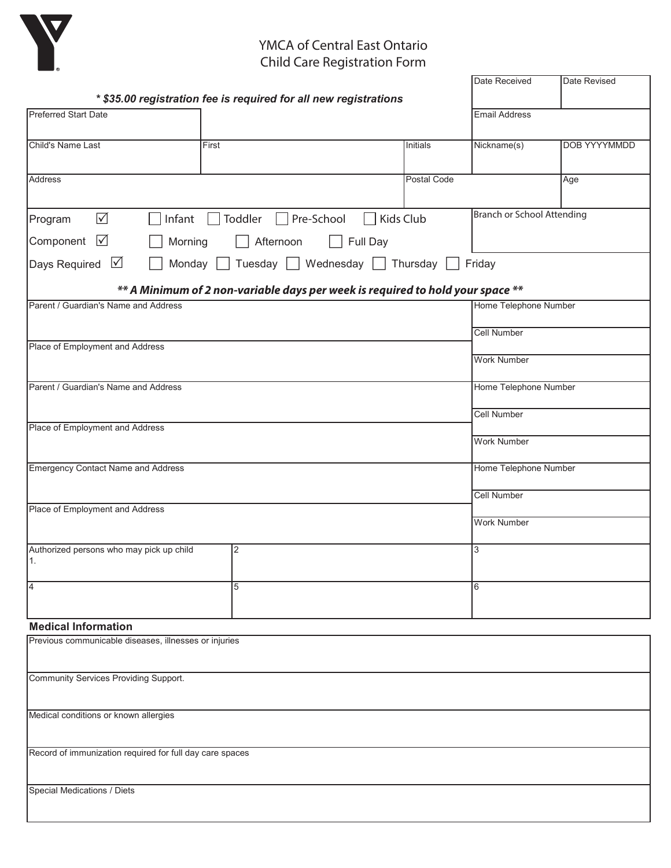

#### $Y$ MCA  $G$   $Y$   $F$   $Q$ Tivich of certifian Last<br>Child Care Registrati YMCA of Central East Ontario Child Care Registration Form

| ∎⊛                                                       |                                                                                |           |             |                            |                     |
|----------------------------------------------------------|--------------------------------------------------------------------------------|-----------|-------------|----------------------------|---------------------|
|                                                          |                                                                                |           |             | Date Received              | Date Revised        |
| <b>Preferred Start Date</b>                              | * \$35.00 registration fee is required for all new registrations               |           |             | <b>Email Address</b>       |                     |
|                                                          |                                                                                |           |             |                            |                     |
| Child's Name Last                                        | First                                                                          |           | Initials    | Nickname(s)                | <b>DOB YYYYMMDD</b> |
| Address                                                  |                                                                                |           | Postal Code |                            | Age                 |
|                                                          |                                                                                |           |             |                            |                     |
| $\sqrt{}$<br>Program                                     | Pre-School<br>Infant<br>Toddler                                                | Kids Club |             | Branch or School Attending |                     |
| $\triangledown$<br>Component                             | Afternoon<br>Morning                                                           | Full Day  |             |                            |                     |
| Days Required $\Box$                                     | Tuesday Wednesday Thursday<br>Monday                                           |           |             | Friday                     |                     |
|                                                          | ** A Minimum of 2 non-variable days per week is required to hold your space ** |           |             |                            |                     |
| Parent / Guardian's Name and Address                     |                                                                                |           |             | Home Telephone Number      |                     |
|                                                          |                                                                                |           |             | <b>Cell Number</b>         |                     |
| Place of Employment and Address                          |                                                                                |           |             | <b>Work Number</b>         |                     |
|                                                          |                                                                                |           |             |                            |                     |
| Parent / Guardian's Name and Address                     |                                                                                |           |             | Home Telephone Number      |                     |
|                                                          |                                                                                |           |             | <b>Cell Number</b>         |                     |
| Place of Employment and Address                          |                                                                                |           |             | <b>Work Number</b>         |                     |
| <b>Emergency Contact Name and Address</b>                |                                                                                |           |             | Home Telephone Number      |                     |
|                                                          |                                                                                |           |             | <b>Cell Number</b>         |                     |
| Place of Employment and Address                          |                                                                                |           |             |                            |                     |
|                                                          |                                                                                |           |             | <b>Work Number</b>         |                     |
| Authorized persons who may pick up child<br>л.           | 2                                                                              |           |             | 3                          |                     |
|                                                          |                                                                                |           |             |                            |                     |
| $\overline{4}$                                           | 5                                                                              |           |             | 6                          |                     |
| <b>Medical Information</b>                               |                                                                                |           |             |                            |                     |
| Previous communicable diseases, illnesses or injuries    |                                                                                |           |             |                            |                     |
|                                                          |                                                                                |           |             |                            |                     |
| <b>Community Services Providing Support.</b>             |                                                                                |           |             |                            |                     |
| Medical conditions or known allergies                    |                                                                                |           |             |                            |                     |
|                                                          |                                                                                |           |             |                            |                     |
| Record of immunization required for full day care spaces |                                                                                |           |             |                            |                     |
|                                                          |                                                                                |           |             |                            |                     |
| Special Medications / Diets                              |                                                                                |           |             |                            |                     |
|                                                          |                                                                                |           |             |                            |                     |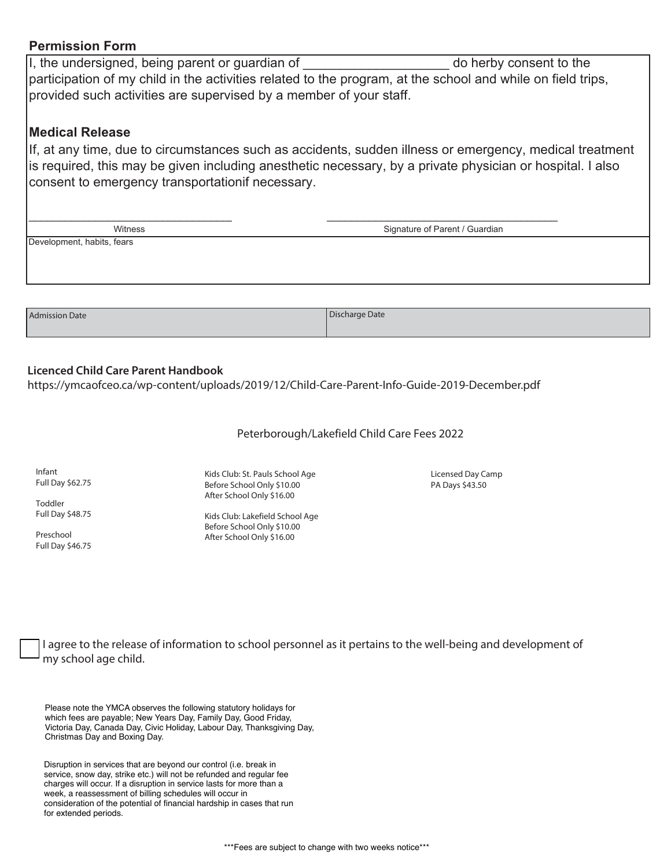### **Permission Form**

I, the undersigned, being parent or guardian of development of the do herby consent to the participation of my child in the activities related to the program, at the school and while on field trips, provided such activities are supervised by a member of your staff.

### **Medical Release**

If, at any time, due to circumstances such as accidents, sudden illness or emergency, medical treatment is required, this may be given including anesthetic necessary, by a private physician or hospital. I also consent to emergency transportationif necessary.

| Witness                    | Signature of Parent / Guardian |  |
|----------------------------|--------------------------------|--|
| Development, habits, fears |                                |  |
|                            |                                |  |
|                            |                                |  |
|                            |                                |  |
|                            |                                |  |
| <b>Admission Date</b>      | Discharge Date                 |  |

When chosing *Option 1 ONLY* payments may be processed either the 1st or 15th of each month or both.

## Licenced Child Care Parent Handbook

https://ymcaofceo.ca/wp-content/uploads/2019/12/Child-Care-Parent-Info-Guide-2019-December.pdf Please attach a Void Cheque

The YMCA is a charity that serves individuals and families from various economic and social backgrounds. The YMCA provides from various experiments of  $\alpha$ Peterborough/Lakefield Child Care Fees 2022

 $\mathcal{L}_{\mathcal{A}}$  receipt will be indicated tax receipt will be indicated to the amount donated to the YMCA. community. Infant Full Day \$62.75

Toddler Full Day \$48.75

ay  $340.73$ Preschool Full Day \$46.75

Yes, I choose to make a donation of \_\_\_\_\_\_\_\_\_\_\_\_\_, weekly / monthly to the YMCA to assist in building a stronger Kids Club: St. Pauls School Age :Pre-authorized Credit Card - payments processed on the 15th of each month. Before School Only \$10.00 After School Only \$16.00

> After School Only \$16.00 name cannot control of the Card: Cardiac Cardiac Cardiac Cardiac Cardiac Cardiac Cardiac Cardiac Cardiac Cardiac Cardiac Cardiac Cardiac Cardiac Cardiac Cardiac Cardiac Cardiac Cardiac Cardiac Cardiac Cardiac Cardiac Cardi Kids Club: Lakefield School Age

Licensed Day Camp PA Days \$43.50

I agree to the release of information to school personnel as it pertains to the well-being and development of my school age child.

Please note the YMCA observes the following statutory holidays for which fees are payable; New Years Day, Family Day, Good Friday, Victoria Day, Canada Day, Civic Holiday, Labour Day, Thanksgiving Day, Christmas Day and Boxing Day.

Disruption in services that are beyond our control (i.e. break in service, snow day, strike etc.) will not be refunded and regular fee charges will occur. If a disruption in service lasts for more than a week, a reassessment of billing schedules will occur in consideration of the potential of financial hardship in cases that run